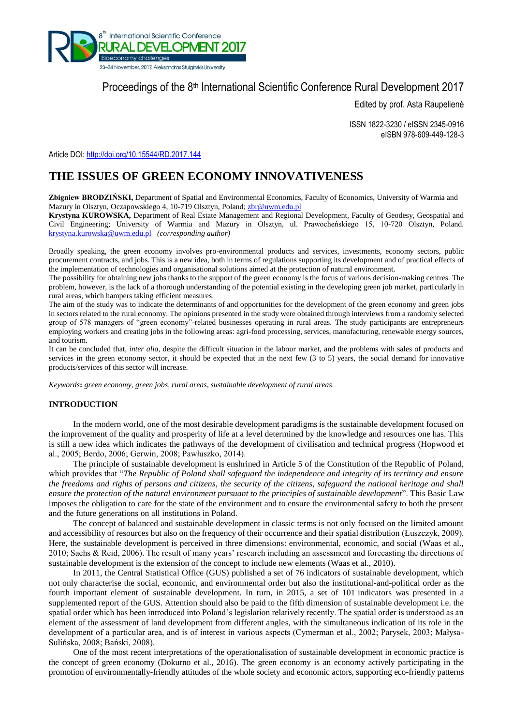

# Proceedings of the 8<sup>th</sup> International Scientific Conference Rural Development 2017

Edited by prof. Asta Raupelienė

ISSN 1822-3230 / eISSN 2345-0916 eISBN 978-609-449-128-3

Article DOI: <http://doi.org/10.15544/RD.2017.144>

## **THE ISSUES OF GREEN ECONOMY INNOVATIVENESS**

Zbigniew BRODZIŃSKI, Department of Spatial and Environmental Economics, Faculty of Economics, University of Warmia and Mazury in Olsztyn, Oczapowskiego 4, 10-719 Olsztyn, Poland; zbr@uwm.edu.pl

**Krystyna KUROWSKA,** Department of Real Estate Management and Regional Development, Faculty of Geodesy, Geospatial and Civil Engineering; University of Warmia and Mazury in Olsztyn, ul. Prawocheńskiego 15, 10-720 Olsztyn, Poland. [krystyna.kurowska@uwm.edu.pl](mailto:krystyna.kurowska@uwm.edu.pl) *(corresponding author)*

Broadly speaking, the green economy involves pro-environmental products and services, investments, economy sectors, public procurement contracts, and jobs. This is a new idea, both in terms of regulations supporting its development and of practical effects of the implementation of technologies and organisational solutions aimed at the protection of natural environment.

The possibility for obtaining new jobs thanks to the support of the green economy is the focus of various decision-making centres. The problem, however, is the lack of a thorough understanding of the potential existing in the developing green job market, particularly in rural areas, which hampers taking efficient measures.

The aim of the study was to indicate the determinants of and opportunities for the development of the green economy and green jobs in sectors related to the rural economy. The opinions presented in the study were obtained through interviews from a randomly selected group of 578 managers of "green economy"-related businesses operating in rural areas. The study participants are entrepreneurs employing workers and creating jobs in the following areas: agri-food processing, services, manufacturing, renewable energy sources, and tourism.

It can be concluded that, *inter alia*, despite the difficult situation in the labour market, and the problems with sales of products and services in the green economy sector, it should be expected that in the next few (3 to 5) years, the social demand for innovative products/services of this sector will increase.

*Keywords***:** *green economy, green jobs, rural areas, sustainable development of rural areas.*

### **INTRODUCTION**

In the modern world, one of the most desirable development paradigms is the sustainable development focused on the improvement of the quality and prosperity of life at a level determined by the knowledge and resources one has. This is still a new idea which indicates the pathways of the development of civilisation and technical progress (Hopwood et al., 2005; Berdo, 2006; Gerwin, 2008; Pawłuszko, 2014).

The principle of sustainable development is enshrined in Article 5 of the Constitution of the Republic of Poland, which provides that "*The Republic of Poland shall safeguard the independence and integrity of its territory and ensure the freedoms and rights of persons and citizens, the security of the citizens, safeguard the national heritage and shall ensure the protection of the natural environment pursuant to the principles of sustainable development*". This Basic Law imposes the obligation to care for the state of the environment and to ensure the environmental safety to both the present and the future generations on all institutions in Poland.

The concept of balanced and sustainable development in classic terms is not only focused on the limited amount and accessibility of resources but also on the frequency of their occurrence and their spatial distribution (Łuszczyk, 2009). Here, the sustainable development is perceived in three dimensions: environmental, economic, and social (Waas et al., 2010; Sachs & Reid, 2006). The result of many years' research including an assessment and forecasting the directions of sustainable development is the extension of the concept to include new elements (Waas et al., 2010).

In 2011, the Central Statistical Office (GUS) published a set of 76 indicators of sustainable development, which not only characterise the social, economic, and environmental order but also the institutional-and-political order as the fourth important element of sustainable development. In turn, in 2015, a set of 101 indicators was presented in a supplemented report of the GUS. Attention should also be paid to the fifth dimension of sustainable development i.e. the spatial order which has been introduced into Poland's legislation relatively recently. The spatial order is understood as an element of the assessment of land development from different angles, with the simultaneous indication of its role in the development of a particular area, and is of interest in various aspects (Cymerman et al., 2002; Parysek, 2003; Małysa-Sulińska, 2008; Bański, 2008).

One of the most recent interpretations of the operationalisation of sustainable development in economic practice is the concept of green economy (Dokurno et al., 2016). The green economy is an economy actively participating in the promotion of environmentally-friendly attitudes of the whole society and economic actors, supporting eco-friendly patterns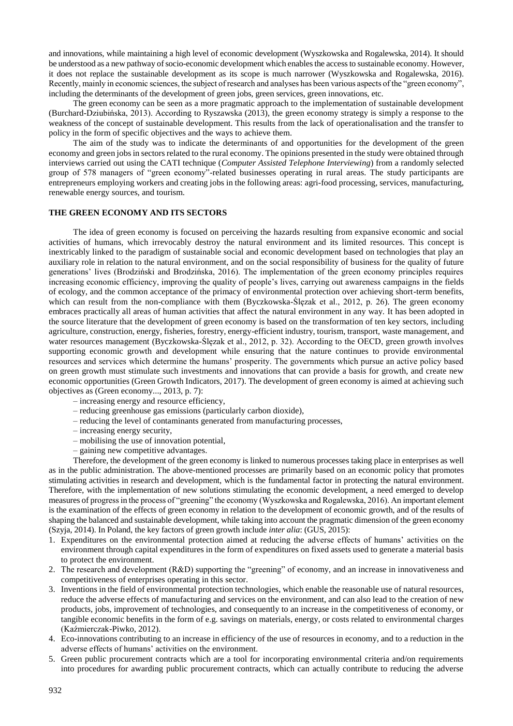and innovations, while maintaining a high level of economic development (Wyszkowska and Rogalewska, 2014). It should be understood as a new pathway of socio-economic development which enables the access to sustainable economy. However, it does not replace the sustainable development as its scope is much narrower (Wyszkowska and Rogalewska, 2016). Recently, mainly in economic sciences, the subject of research and analyses has been various aspects of the "green economy", including the determinants of the development of green jobs, green services, green innovations, etc.

The green economy can be seen as a more pragmatic approach to the implementation of sustainable development (Burchard-Dziubińska, 2013). According to Ryszawska (2013), the green economy strategy is simply a response to the weakness of the concept of sustainable development. This results from the lack of operationalisation and the transfer to policy in the form of specific objectives and the ways to achieve them.

The aim of the study was to indicate the determinants of and opportunities for the development of the green economy and green jobs in sectors related to the rural economy. The opinions presented in the study were obtained through interviews carried out using the CATI technique (*Computer Assisted Telephone Interviewing*) from a randomly selected group of 578 managers of "green economy"-related businesses operating in rural areas. The study participants are entrepreneurs employing workers and creating jobs in the following areas: agri-food processing, services, manufacturing, renewable energy sources, and tourism.

### **THE GREEN ECONOMY AND ITS SECTORS**

The idea of green economy is focused on perceiving the hazards resulting from expansive economic and social activities of humans, which irrevocably destroy the natural environment and its limited resources. This concept is inextricably linked to the paradigm of sustainable social and economic development based on technologies that play an auxiliary role in relation to the natural environment, and on the social responsibility of business for the quality of future generations' lives (Brodziński and Brodzińska, 2016). The implementation of the green economy principles requires increasing economic efficiency, improving the quality of people's lives, carrying out awareness campaigns in the fields of ecology, and the common acceptance of the primacy of environmental protection over achieving short-term benefits, which can result from the non-compliance with them (Byczkowska-Ślęzak et al., 2012, p. 26). The green economy embraces practically all areas of human activities that affect the natural environment in any way. It has been adopted in the source literature that the development of green economy is based on the transformation of ten key sectors, including agriculture, construction, energy, fisheries, forestry, energy-efficient industry, tourism, transport, waste management, and water resources management (Byczkowska-Ślęzak et al., 2012, p. 32). According to the OECD, green growth involves supporting economic growth and development while ensuring that the nature continues to provide environmental resources and services which determine the humans' prosperity. The governments which pursue an active policy based on green growth must stimulate such investments and innovations that can provide a basis for growth, and create new economic opportunities (Green Growth Indicators, 2017). The development of green economy is aimed at achieving such objectives as (Green economy..., 2013, p. 7):

- increasing energy and resource efficiency,
- reducing greenhouse gas emissions (particularly carbon dioxide),
- reducing the level of contaminants generated from manufacturing processes,
- increasing energy security,
- mobilising the use of innovation potential,
- gaining new competitive advantages.

Therefore, the development of the green economy is linked to numerous processes taking place in enterprises as well as in the public administration. The above-mentioned processes are primarily based on an economic policy that promotes stimulating activities in research and development, which is the fundamental factor in protecting the natural environment. Therefore, with the implementation of new solutions stimulating the economic development, a need emerged to develop measures of progress in the process of "greening" the economy (Wyszkowska and Rogalewska, 2016). An important element is the examination of the effects of green economy in relation to the development of economic growth, and of the results of shaping the balanced and sustainable development, while taking into account the pragmatic dimension of the green economy (Szyja, 2014). In Poland, the key factors of green growth include *inter alia*: (GUS, 2015):

- 1. Expenditures on the environmental protection aimed at reducing the adverse effects of humans' activities on the environment through capital expenditures in the form of expenditures on fixed assets used to generate a material basis to protect the environment.
- 2. The research and development (R&D) supporting the "greening" of economy, and an increase in innovativeness and competitiveness of enterprises operating in this sector.
- 3. Inventions in the field of environmental protection technologies, which enable the reasonable use of natural resources, reduce the adverse effects of manufacturing and services on the environment, and can also lead to the creation of new products, jobs, improvement of technologies, and consequently to an increase in the competitiveness of economy, or tangible economic benefits in the form of e.g. savings on materials, energy, or costs related to environmental charges (Kaźmierczak-Piwko, 2012).
- 4. Eco-innovations contributing to an increase in efficiency of the use of resources in economy, and to a reduction in the adverse effects of humans' activities on the environment.
- 5. Green public procurement contracts which are a tool for incorporating environmental criteria and/on requirements into procedures for awarding public procurement contracts, which can actually contribute to reducing the adverse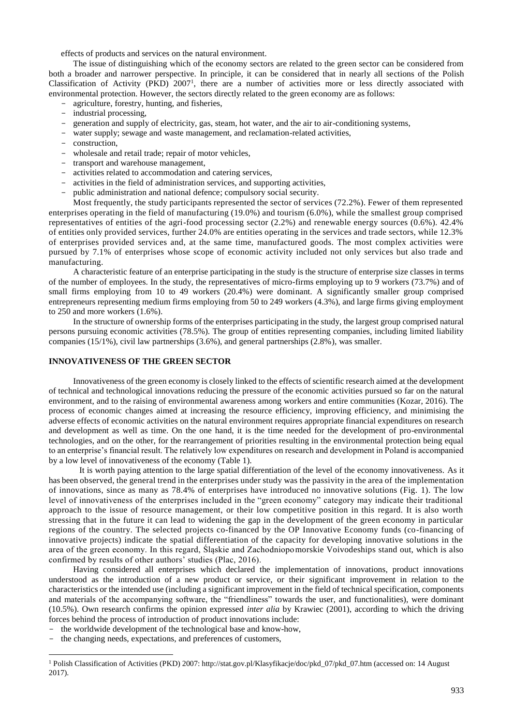effects of products and services on the natural environment.

The issue of distinguishing which of the economy sectors are related to the green sector can be considered from both a broader and narrower perspective. In principle, it can be considered that in nearly all sections of the Polish Classification of Activity (PKD) 2007<sup>1</sup>, there are a number of activities more or less directly associated with environmental protection. However, the sectors directly related to the green economy are as follows:

- agriculture, forestry, hunting, and fisheries,
- industrial processing,
- generation and supply of electricity, gas, steam, hot water, and the air to air-conditioning systems,
- water supply; sewage and waste management, and reclamation-related activities,
- construction,
- wholesale and retail trade; repair of motor vehicles,
- transport and warehouse management,
- activities related to accommodation and catering services,
- activities in the field of administration services, and supporting activities,
- public administration and national defence; compulsory social security.

Most frequently, the study participants represented the sector of services (72.2%). Fewer of them represented enterprises operating in the field of manufacturing (19.0%) and tourism (6.0%), while the smallest group comprised representatives of entities of the agri-food processing sector (2.2%) and renewable energy sources (0.6%). 42.4% of entities only provided services, further 24.0% are entities operating in the services and trade sectors, while 12.3% of enterprises provided services and, at the same time, manufactured goods. The most complex activities were pursued by 7.1% of enterprises whose scope of economic activity included not only services but also trade and manufacturing.

A characteristic feature of an enterprise participating in the study is the structure of enterprise size classes in terms of the number of employees. In the study, the representatives of micro-firms employing up to 9 workers (73.7%) and of small firms employing from 10 to 49 workers (20.4%) were dominant. A significantly smaller group comprised entrepreneurs representing medium firms employing from 50 to 249 workers (4.3%), and large firms giving employment to 250 and more workers (1.6%).

In the structure of ownership forms of the enterprises participating in the study, the largest group comprised natural persons pursuing economic activities (78.5%). The group of entities representing companies, including limited liability companies (15/1%), civil law partnerships (3.6%), and general partnerships (2.8%), was smaller.

### **INNOVATIVENESS OF THE GREEN SECTOR**

Innovativeness of the green economy is closely linked to the effects of scientific research aimed at the development of technical and technological innovations reducing the pressure of the economic activities pursued so far on the natural environment, and to the raising of environmental awareness among workers and entire communities (Kozar, 2016). The process of economic changes aimed at increasing the resource efficiency, improving efficiency, and minimising the adverse effects of economic activities on the natural environment requires appropriate financial expenditures on research and development as well as time. On the one hand, it is the time needed for the development of pro-environmental technologies, and on the other, for the rearrangement of priorities resulting in the environmental protection being equal to an enterprise's financial result. The relatively low expenditures on research and development in Poland is accompanied by a low level of innovativeness of the economy (Table 1).

It is worth paying attention to the large spatial differentiation of the level of the economy innovativeness. As it has been observed, the general trend in the enterprises under study was the passivity in the area of the implementation of innovations, since as many as 78.4% of enterprises have introduced no innovative solutions (Fig. 1). The low level of innovativeness of the enterprises included in the "green economy" category may indicate their traditional approach to the issue of resource management, or their low competitive position in this regard. It is also worth stressing that in the future it can lead to widening the gap in the development of the green economy in particular regions of the country. The selected projects co-financed by the OP Innovative Economy funds (co-financing of innovative projects) indicate the spatial differentiation of the capacity for developing innovative solutions in the area of the green economy. In this regard, Śląskie and Zachodniopomorskie Voivodeships stand out, which is also confirmed by results of other authors' studies (Plac, 2016).

Having considered all enterprises which declared the implementation of innovations, product innovations understood as the introduction of a new product or service, or their significant improvement in relation to the characteristics or the intended use (including a significant improvement in the field of technical specification, components and materials of the accompanying software, the "friendliness" towards the user, and functionalities), were dominant (10.5%). Own research confirms the opinion expressed *inter alia* by Krawiec (2001), according to which the driving forces behind the process of introduction of product innovations include:

- the worldwide development of the technological base and know-how,
- the changing needs, expectations, and preferences of customers,

**.** 

<sup>1</sup> Polish Classification of Activities (PKD) 2007: http://stat.gov.pl/Klasyfikacje/doc/pkd\_07/pkd\_07.htm (accessed on: 14 August 2017).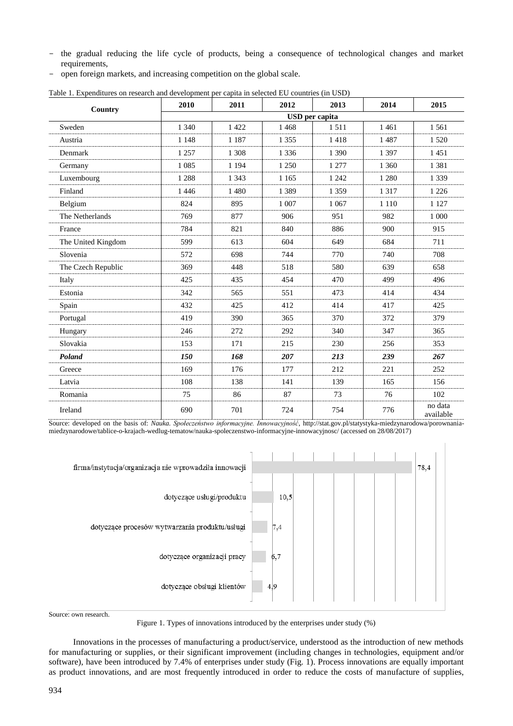- the gradual reducing the life cycle of products, being a consequence of technological changes and market requirements,
- open foreign markets, and increasing competition on the global scale.

| Country            | 2010    | 2011                  | 2012    | 2013    | 2014    | 2015                 |  |  |  |
|--------------------|---------|-----------------------|---------|---------|---------|----------------------|--|--|--|
|                    |         | <b>USD</b> per capita |         |         |         |                      |  |  |  |
| Sweden             | 1 3 4 0 | 1 4 2 2               | 1468    | 1511    | 1 4 6 1 | 1 5 6 1              |  |  |  |
| Austria            | 1 1 4 8 | 1 1 8 7               | 1 3 5 5 | 1418    | 1 4 8 7 | 1 5 2 0              |  |  |  |
| Denmark            | 1 2 5 7 | 1 3 0 8               | 1 3 3 6 | 1 3 9 0 | 1 3 9 7 | 1451                 |  |  |  |
| Germany            | 1 0 8 5 | 1 1 9 4               | 1 2 5 0 | 1 277   | 1 3 6 0 | 1 3 8 1              |  |  |  |
| Luxembourg         | 1 2 8 8 | 1 3 4 3               | 1 1 6 5 | 1 2 4 2 | 1 2 8 0 | 1 3 3 9              |  |  |  |
| Finland            | 1446    | 1 4 8 0               | 1 3 8 9 | 1 3 5 9 | 1 3 1 7 | 1 2 2 6              |  |  |  |
| Belgium            | 824     | 895                   | 1 0 0 7 | 1 0 6 7 | 1 1 1 0 | 1 1 2 7              |  |  |  |
| The Netherlands    | 769     | 877                   | 906     | 951     | 982     | 1 000                |  |  |  |
| France             | 784     | 821                   | 840     | 886     | 900     | 915                  |  |  |  |
| The United Kingdom | 599     | 613                   | 604     | 649     | 684     | 711                  |  |  |  |
| Slovenia           | 572     | 698                   | 744     | 770     | 740     | 708                  |  |  |  |
| The Czech Republic | 369     | 448                   | 518     | 580     | 639     | 658                  |  |  |  |
| Italy              | 425     | 435                   | 454     | 470     | 499     | 496                  |  |  |  |
| Estonia            | 342     | 565                   | 551     | 473     | 414     | 434                  |  |  |  |
| Spain              | 432     | 425                   | 412     | 414     | 417     | 425                  |  |  |  |
| Portugal           | 419     | 390                   | 365     | 370     | 372     | 379                  |  |  |  |
| Hungary            | 246     | 272                   | 292     | 340     | 347     | 365                  |  |  |  |
| Slovakia           | 153     | 171                   | 215     | 230     | 256     | 353                  |  |  |  |
| Poland             | 150     | 168                   | 207     | 213     | 239     | 267                  |  |  |  |
| Greece             | 169     | 176                   | 177     | 212     | 221     | 252                  |  |  |  |
| Latvia             | 108     | 138                   | 141     | 139     | 165     | 156                  |  |  |  |
| Romania            | 75      | 86                    | 87      | 73      | 76      | 102                  |  |  |  |
| Ireland            | 690     | 701                   | 724     | 754     | 776     | no data<br>available |  |  |  |

Table 1. Expenditures on research and development per capita in selected EU countries (in USD)

Source: developed on the basis of: *Nauka. Społeczeństwo informacyjne. Innowacyjność*, http://stat.gov.pl/statystyka-miedzynarodowa/porownaniamiedzynarodowe/tablice-o-krajach-wedlug-tematow/nauka-spoleczenstwo-informacyjne-innowacyjnosc/ (accessed on 28/08/2017)

| firma/instytucja/organizacja nie wprowadziła innowacji |      |  |  |  | 78,4 |
|--------------------------------------------------------|------|--|--|--|------|
| dotyczące usługi/produktu                              | 10,5 |  |  |  |      |
| dotyczące procesów wytwarzania produktu/usługi         | 7,4  |  |  |  |      |
| dotyczące organizacji pracy                            | 6,7  |  |  |  |      |
| dotyczące obsługi klientów                             | 4,9  |  |  |  |      |

Source: own research.

Figure 1. Types of innovations introduced by the enterprises under study (%)

Innovations in the processes of manufacturing a product/service, understood as the introduction of new methods for manufacturing or supplies, or their significant improvement (including changes in technologies, equipment and/or software), have been introduced by 7.4% of enterprises under study (Fig. 1). Process innovations are equally important as product innovations, and are most frequently introduced in order to reduce the costs of manufacture of supplies,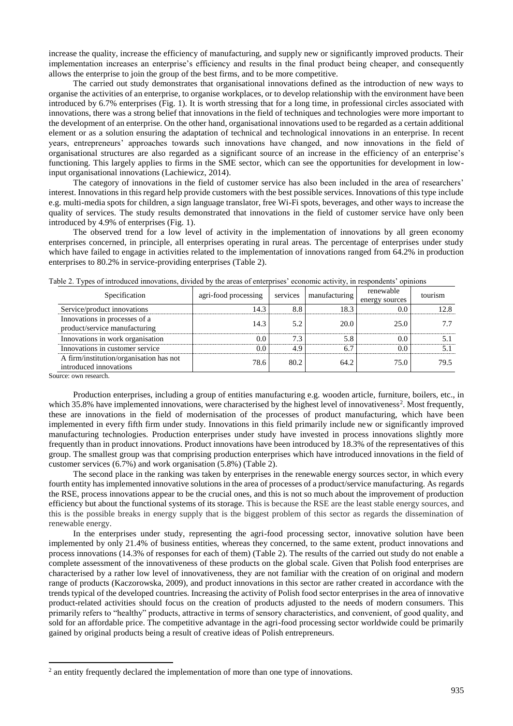increase the quality, increase the efficiency of manufacturing, and supply new or significantly improved products. Their implementation increases an enterprise's efficiency and results in the final product being cheaper, and consequently allows the enterprise to join the group of the best firms, and to be more competitive.

The carried out study demonstrates that organisational innovations defined as the introduction of new ways to organise the activities of an enterprise, to organise workplaces, or to develop relationship with the environment have been introduced by 6.7% enterprises (Fig. 1). It is worth stressing that for a long time, in professional circles associated with innovations, there was a strong belief that innovations in the field of techniques and technologies were more important to the development of an enterprise. On the other hand, organisational innovations used to be regarded as a certain additional element or as a solution ensuring the adaptation of technical and technological innovations in an enterprise. In recent years, entrepreneurs' approaches towards such innovations have changed, and now innovations in the field of organisational structures are also regarded as a significant source of an increase in the efficiency of an enterprise's functioning. This largely applies to firms in the SME sector, which can see the opportunities for development in lowinput organisational innovations (Lachiewicz, 2014).

The category of innovations in the field of customer service has also been included in the area of researchers' interest. Innovations in this regard help provide customers with the best possible services. Innovations of this type include e.g. multi-media spots for children, a sign language translator, free Wi-Fi spots, beverages, and other ways to increase the quality of services. The study results demonstrated that innovations in the field of customer service have only been introduced by 4.9% of enterprises (Fig. 1).

The observed trend for a low level of activity in the implementation of innovations by all green economy enterprises concerned, in principle, all enterprises operating in rural areas. The percentage of enterprises under study which have failed to engage in activities related to the implementation of innovations ranged from 64.2% in production enterprises to 80.2% in service-providing enterprises (Table 2).

| Specification                                                     | agri-food processing | services | manufacturing | renewable<br>energy sources | tourism |
|-------------------------------------------------------------------|----------------------|----------|---------------|-----------------------------|---------|
| Service/product innovations                                       | 14.3                 | 8.8      | 18.3          | 0.0                         | 12.8    |
| Innovations in processes of a<br>product/service manufacturing    | 14.3                 | 5.2      | 20.0          | 25.0                        | 7.7     |
| Innovations in work organisation                                  | 0.0                  | 7.3      | 5.8           | $0.0^{\circ}$               | 5.1     |
| Innovations in customer service                                   | 0.0                  | 4.9      | 6.7           | 0.0                         | 5.1     |
| A firm/institution/organisation has not<br>introduced innovations | 78.6                 | 80.2     | 64.2          | 75.0                        | 79.5    |
|                                                                   |                      |          |               |                             |         |

Table 2. Types of introduced innovations, divided by the areas of enterprises' economic activity, in respondents' opinions

Source: own research.

**.** 

Production enterprises, including a group of entities manufacturing e.g. wooden article, furniture, boilers, etc., in which 35.8% have implemented innovations, were characterised by the highest level of innovativeness<sup>2</sup>. Most frequently, these are innovations in the field of modernisation of the processes of product manufacturing, which have been implemented in every fifth firm under study. Innovations in this field primarily include new or significantly improved manufacturing technologies. Production enterprises under study have invested in process innovations slightly more frequently than in product innovations. Product innovations have been introduced by 18.3% of the representatives of this group. The smallest group was that comprising production enterprises which have introduced innovations in the field of customer services (6.7%) and work organisation (5.8%) (Table 2).

The second place in the ranking was taken by enterprises in the renewable energy sources sector, in which every fourth entity has implemented innovative solutions in the area of processes of a product/service manufacturing. As regards the RSE, process innovations appear to be the crucial ones, and this is not so much about the improvement of production efficiency but about the functional systems of its storage. This is because the RSE are the least stable energy sources, and this is the possible breaks in energy supply that is the biggest problem of this sector as regards the dissemination of renewable energy.

In the enterprises under study, representing the agri-food processing sector, innovative solution have been implemented by only 21.4% of business entities, whereas they concerned, to the same extent, product innovations and process innovations (14.3% of responses for each of them) (Table 2). The results of the carried out study do not enable a complete assessment of the innovativeness of these products on the global scale. Given that Polish food enterprises are characterised by a rather low level of innovativeness, they are not familiar with the creation of on original and modern range of products (Kaczorowska, 2009), and product innovations in this sector are rather created in accordance with the trends typical of the developed countries. Increasing the activity of Polish food sector enterprises in the area of innovative product-related activities should focus on the creation of products adjusted to the needs of modern consumers. This primarily refers to "healthy" products, attractive in terms of sensory characteristics, and convenient, of good quality, and sold for an affordable price. The competitive advantage in the agri-food processing sector worldwide could be primarily gained by original products being a result of creative ideas of Polish entrepreneurs.

 $2$  an entity frequently declared the implementation of more than one type of innovations.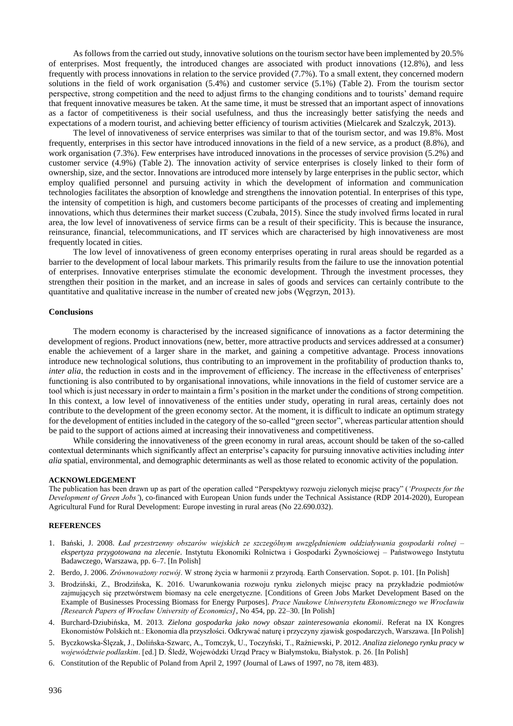As follows from the carried out study, innovative solutions on the tourism sector have been implemented by 20.5% of enterprises. Most frequently, the introduced changes are associated with product innovations (12.8%), and less frequently with process innovations in relation to the service provided (7.7%). To a small extent, they concerned modern solutions in the field of work organisation (5.4%) and customer service (5.1%) (Table 2). From the tourism sector perspective, strong competition and the need to adjust firms to the changing conditions and to tourists' demand require that frequent innovative measures be taken. At the same time, it must be stressed that an important aspect of innovations as a factor of competitiveness is their social usefulness, and thus the increasingly better satisfying the needs and expectations of a modern tourist, and achieving better efficiency of tourism activities (Mielcarek and Szalczyk, 2013).

The level of innovativeness of service enterprises was similar to that of the tourism sector, and was 19.8%. Most frequently, enterprises in this sector have introduced innovations in the field of a new service, as a product (8.8%), and work organisation (7.3%). Few enterprises have introduced innovations in the processes of service provision (5.2%) and customer service (4.9%) (Table 2). The innovation activity of service enterprises is closely linked to their form of ownership, size, and the sector. Innovations are introduced more intensely by large enterprises in the public sector, which employ qualified personnel and pursuing activity in which the development of information and communication technologies facilitates the absorption of knowledge and strengthens the innovation potential. In enterprises of this type, the intensity of competition is high, and customers become participants of the processes of creating and implementing innovations, which thus determines their market success (Czubała, 2015). Since the study involved firms located in rural area, the low level of innovativeness of service firms can be a result of their specificity. This is because the insurance, reinsurance, financial, telecommunications, and IT services which are characterised by high innovativeness are most frequently located in cities.

The low level of innovativeness of green economy enterprises operating in rural areas should be regarded as a barrier to the development of local labour markets. This primarily results from the failure to use the innovation potential of enterprises. Innovative enterprises stimulate the economic development. Through the investment processes, they strengthen their position in the market, and an increase in sales of goods and services can certainly contribute to the quantitative and qualitative increase in the number of created new jobs (Węgrzyn, 2013).

#### **Conclusions**

The modern economy is characterised by the increased significance of innovations as a factor determining the development of regions. Product innovations (new, better, more attractive products and services addressed at a consumer) enable the achievement of a larger share in the market, and gaining a competitive advantage. Process innovations introduce new technological solutions, thus contributing to an improvement in the profitability of production thanks to, *inter alia*, the reduction in costs and in the improvement of efficiency. The increase in the effectiveness of enterprises' functioning is also contributed to by organisational innovations, while innovations in the field of customer service are a tool which is just necessary in order to maintain a firm's position in the market under the conditions of strong competition. In this context, a low level of innovativeness of the entities under study, operating in rural areas, certainly does not contribute to the development of the green economy sector. At the moment, it is difficult to indicate an optimum strategy for the development of entities included in the category of the so-called "green sector", whereas particular attention should be paid to the support of actions aimed at increasing their innovativeness and competitiveness.

While considering the innovativeness of the green economy in rural areas, account should be taken of the so-called contextual determinants which significantly affect an enterprise's capacity for pursuing innovative activities including *inter alia* spatial, environmental, and demographic determinants as well as those related to economic activity of the population.

#### **ACKNOWLEDGEMENT**

The publication has been drawn up as part of the operation called "Perspektywy rozwoju zielonych miejsc pracy" (*'Prospects for the Development of Green Jobs'*), co-financed with European Union funds under the Technical Assistance (RDP 2014-2020), European Agricultural Fund for Rural Development: Europe investing in rural areas (No 22.690.032).

#### **REFERENCES**

- 1. Bański, J. 2008. *Ład przestrzenny obszarów wiejskich ze szczególnym uwzględnieniem oddziaływania gospodarki rolnej – ekspertyza przygotowana na zlecenie*. Instytutu Ekonomiki Rolnictwa i Gospodarki Żywnościowej – Państwowego Instytutu Badawczego, Warszawa, pp. 6–7. [In Polish]
- 2. Berdo, J. 2006. *Zrównoważony rozwój*. W stronę życia w harmonii z przyrodą. Earth Conservation. Sopot. p. 101. [In Polish]
- 3. Brodziński, Z., Brodzińska, K. 2016. Uwarunkowania rozwoju rynku zielonych miejsc pracy na przykładzie podmiotów zajmujących się przetwórstwem biomasy na cele energetyczne. [Conditions of Green Jobs Market Development Based on the Example of Businesses Processing Biomass for Energy Purposes]. *Prace Naukowe Uniwersytetu Ekonomicznego we Wrocławiu [Research Papers of Wrocław University of Economics]*, No 454, pp. 22–30. [In Polish]
- 4. Burchard-Dziubińska, M. 2013*. Zielona gospodarka jako nowy obszar zainteresowania ekonomii*. Referat na IX Kongres Ekonomistów Polskich nt.: Ekonomia dla przyszłości. Odkrywać naturę i przyczyny zjawisk gospodarczych, Warszawa. [In Polish]
- 5. Byczkowska-Ślęzak, J., Dolińska-Szwarc, A., Tomczyk, U., Toczyński, T., Raźniewski, P. 2012. *Analiza zielonego rynku pracy w województwie podlaskim*. [ed.] D. Śledź, Wojewódzki Urząd Pracy w Białymstoku, Białystok. p. 26. [In Polish]
- 6. Constitution of the Republic of Poland from April 2, 1997 (Journal of Laws of 1997, no 78, item 483).